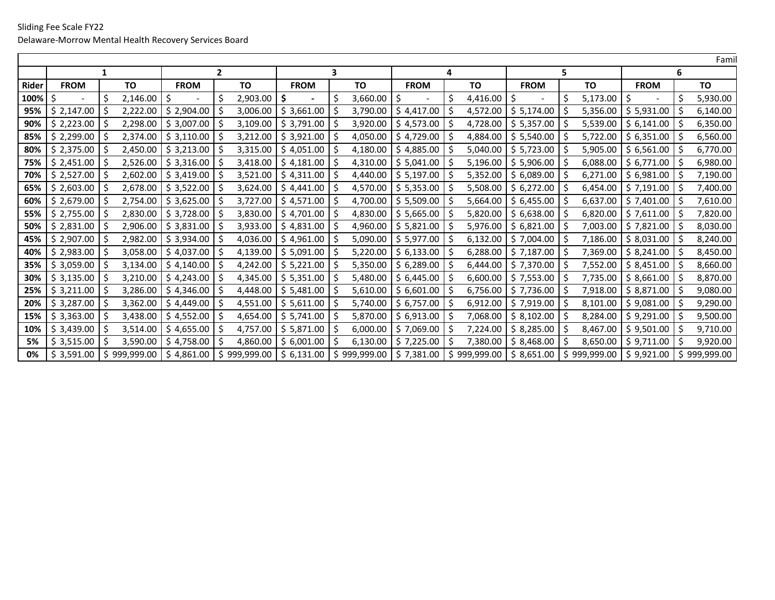| Famil |             |                |                                     |                  |                             |              |                        |                          |             |                    |                           |              |
|-------|-------------|----------------|-------------------------------------|------------------|-----------------------------|--------------|------------------------|--------------------------|-------------|--------------------|---------------------------|--------------|
|       | 1           |                | $\mathbf{2}$                        |                  | 3                           |              | 4                      |                          | 5.          |                    | 6                         |              |
| Rider | <b>FROM</b> | TO             | <b>FROM</b>                         | TO               | <b>FROM</b>                 | TO           | <b>FROM</b>            | TO                       | <b>FROM</b> | TO                 | <b>FROM</b>               | TO           |
| 100%  | Ś           | 2,146.00<br>S  | $\zeta$<br>$\overline{\phantom{a}}$ | \$<br>2,903.00   | -S                          | 3,660.00     | $\ddot{\mathsf{S}}$    | Ŝ<br>4,416.00            |             | $5,173.00$ \$<br>S |                           | 5,930.00     |
| 95%   | \$2,147.00  | 2,222.00       | \$2,904.00                          | 3,006.00<br>l S  | \$3,661.00                  | 3,790.00     | \$4,417.00             | 4,572.00                 | \$5,174.00  | 5,356.00           | \$5,931.00                | 6,140.00     |
| 90%   | \$2,223.00  | 2,298.00       | \$3,007.00                          | 3,109.00<br>l S  | \$3,791.00                  | 3,920.00     | $\frac{1}{2}$ 4,573.00 | 4,728.00                 | \$5,357.00  |                    | $5,539.00$   \$6,141.00   | 6,350.00     |
| 85%   | \$2,299.00  | 2,374.00       | \$3,110.00                          | l S              | $3,212.00$   \$ 3,921.00    | 4,050.00     | \$4,729.00             | 4,884.00                 | \$5,540.00  | -S                 | $5,722.00$   \$6,351.00   | 6,560.00     |
| 80%   | \$2,375.00  | 2,450.00       | \$3,213.00                          | 3,315.00         | \$4,051.00                  | 4,180.00     | \$4,885.00             | 5,040.00                 | \$5,723.00  |                    | $5,905.00$   \$6,561.00   | 6,770.00     |
| 75%   | \$2,451.00  | 2,526.00       | \$3,316.00                          | 3,418.00<br>l S  | \$4,181.00                  | 4,310.00     | 5.041.00               | 5,196.00                 | \$5,906.00  |                    | $6,088.00$   \$6,771.00   | 6,980.00     |
| 70%   | \$2,527.00  | 2,602.00       | \$3,419.00                          | 1\$              | $3,521.00$   \$4,311.00     | 4,440.00     | \$5,197.00             | 5,352.00<br><sub>S</sub> | \$6,089.00  |                    | $6,271.00$   \$6,981.00   | 7,190.00     |
| 65%   | \$2,603.00  | 2,678.00       | \$3,522.00                          | I \$             | $3,624.00$   \$4,441.00     | 4,570.00     | \$5,353.00             | 5,508.00                 | \$6,272.00  | -S                 | $6,454.00$   \$ 7,191.00  | 7,400.00     |
| 60%   | \$2,679.00  | 2,754.00<br>-S | \$3,625.00                          | 3,727.00<br>I \$ | \$4,571.00                  | 4,700.00     | \$5,509.00             | 5,664.00<br>-S           | \$6,455.00  | 6,637.00<br>-S     | $\frac{1}{2}$ 5 7,401.00  | 7,610.00     |
| 55%   | \$2,755.00  | 2,830.00       | \$3,728.00                          | 3,830.00<br>l \$ | \$4,701.00                  | 4,830.00     | \$5,665.00             | 5,820.00                 | \$6,638.00  | 6,820.00<br>-S     | $\frac{5}{7,611.00}$      | 7,820.00     |
| 50%   | \$2,831.00  | 2,906.00       | \$3,831.00                          | 3,933.00<br>l \$ | \$4,831.00                  | 4,960.00     | \$5,821.00             | 5,976.00                 | \$6,821.00  | 7,003.00<br>-S     | \$7,821.00                | 8,030.00     |
| 45%   | \$2,907.00  | 2,982.00       | \$3,934.00                          | l \$<br>4,036.00 | \$4,961.00                  | 5,090.00     | \$5,977.00             | 6,132.00<br>-S           | \$7,004.00  | -S                 | 7,186.00   \$8,031.00     | 8,240.00     |
| 40%   | \$2,983.00  | 3,058.00       | \$4,037.00                          | 4,139.00<br>l \$ | \$5,091.00                  | 5,220.00     | \$6,133.00             | 6,288.00                 | \$7,187.00  | -S                 | 7,369.00   \$8,241.00     | 8,450.00     |
| 35%   | \$3,059.00  | 3,134.00       | \$4,140.00                          | l S              | 4,242.00 $\mid$ \$ 5,221.00 | 5,350.00     | $\frac{1}{2}$ 6,289.00 | 6,444.00                 | \$7,370.00  | -S                 | 7,552.00   \$8,451.00     | 8,660.00     |
| 30%   | \$3,135.00  | 3,210.00       | \$4,243.00                          | l S              | 4,345.00 $\mid$ \$ 5,351.00 | 5,480.00     | \$6,445.00             | 6,600.00                 | \$7,553.00  | -S                 | 7,735.00   \$8,661.00     | 8,870.00     |
| 25%   | \$3,211.00  | 3,286.00       | \$4,346.00                          | l S              | 4,448.00   \$5,481.00       | 5,610.00     | \$6,601.00             | 6,756.00                 | \$7,736.00  | -S                 | 7,918.00   \$8,871.00     | 9,080.00     |
| 20%   | \$3,287.00  | 3,362.00       | \$4,449.00                          | -S               | $4,551.00$   \$ 5,611.00    | 5,740.00     | \$6,757.00             | 6,912.00                 | \$7,919.00  | 8,101.00<br>S      | $\frac{1}{2}$ \$ 9,081.00 | 9,290.00     |
| 15%   | \$3,363.00  | 3,438.00       | \$4,552.00                          | l \$             | $4,654.00$   \$ 5,741.00    | 5,870.00     | \$6,913.00             | 7,068.00                 | \$8,102.00  | -S                 | $8,284.00$   \$9,291.00   | 9,500.00     |
| 10%   | \$3,439.00  | 3,514.00       | \$4,655.00                          | I \$             | 4,757.00   \$5,871.00       | 6,000.00     | \$7,069.00             | 7,224.00                 | \$8,285.00  | -S                 | 8,467.00   \$9,501.00     | 9,710.00     |
| 5%    | \$3,515.00  | 3,590.00       | \$4,758.00                          | l S              | 4,860.00 $\mid$ \$ 6,001.00 | 6,130.00     | \$7,225.00             | 7,380.00                 | \$8,468.00  | 8,650.00<br>-S     | $\frac{1}{5}$ 9,711.00    | 9,920.00     |
| 0%    | \$3,591.00  | \$999,999.00   | \$4,861.00                          | \$999,999.00     | \$6,131.00                  | \$999,999.00 | \$7,381.00             | \$999,999.00             | \$8,651.00  | \$999,999.00       | $\frac{1}{2}$ \$ 9,921.00 | \$999,999.00 |